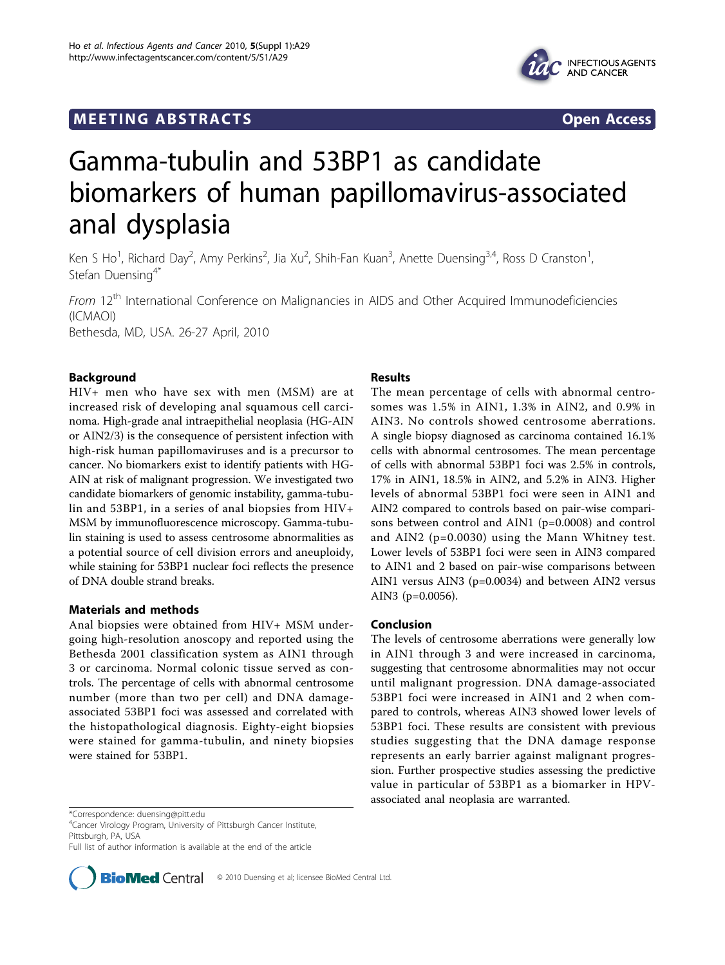# **MEETING ABSTRACTS** And the state of the state of the state of the state of the state of the state of the state of the state of the state of the state of the state of the state of the state of the state of the state of the



# Gamma-tubulin and 53BP1 as candidate biomarkers of human papillomavirus-associated anal dysplasia

Ken S Ho<sup>1</sup>, Richard Day<sup>2</sup>, Amy Perkins<sup>2</sup>, Jia Xu<sup>2</sup>, Shih-Fan Kuan<sup>3</sup>, Anette Duensing<sup>3,4</sup>, Ross D Cranston<sup>1</sup> , Stefan Duensing<sup>4\*</sup>

From 12<sup>th</sup> International Conference on Malignancies in AIDS and Other Acquired Immunodeficiencies (ICMAOI) Bethesda, MD, USA. 26-27 April, 2010

## Background

HIV+ men who have sex with men (MSM) are at increased risk of developing anal squamous cell carcinoma. High-grade anal intraepithelial neoplasia (HG-AIN or AIN2/3) is the consequence of persistent infection with high-risk human papillomaviruses and is a precursor to cancer. No biomarkers exist to identify patients with HG-AIN at risk of malignant progression. We investigated two candidate biomarkers of genomic instability, gamma-tubulin and 53BP1, in a series of anal biopsies from HIV+ MSM by immunofluorescence microscopy. Gamma-tubulin staining is used to assess centrosome abnormalities as a potential source of cell division errors and aneuploidy, while staining for 53BP1 nuclear foci reflects the presence of DNA double strand breaks.

## Materials and methods

Anal biopsies were obtained from HIV+ MSM undergoing high-resolution anoscopy and reported using the Bethesda 2001 classification system as AIN1 through 3 or carcinoma. Normal colonic tissue served as controls. The percentage of cells with abnormal centrosome number (more than two per cell) and DNA damageassociated 53BP1 foci was assessed and correlated with the histopathological diagnosis. Eighty-eight biopsies were stained for gamma-tubulin, and ninety biopsies were stained for 53BP1.

#### Results

The mean percentage of cells with abnormal centrosomes was 1.5% in AIN1, 1.3% in AIN2, and 0.9% in AIN3. No controls showed centrosome aberrations. A single biopsy diagnosed as carcinoma contained 16.1% cells with abnormal centrosomes. The mean percentage of cells with abnormal 53BP1 foci was 2.5% in controls, 17% in AIN1, 18.5% in AIN2, and 5.2% in AIN3. Higher levels of abnormal 53BP1 foci were seen in AIN1 and AIN2 compared to controls based on pair-wise comparisons between control and AIN1 (p=0.0008) and control and AIN2 (p=0.0030) using the Mann Whitney test. Lower levels of 53BP1 foci were seen in AIN3 compared to AIN1 and 2 based on pair-wise comparisons between AIN1 versus AIN3 (p=0.0034) and between AIN2 versus AIN3 (p=0.0056).

#### Conclusion

The levels of centrosome aberrations were generally low in AIN1 through 3 and were increased in carcinoma, suggesting that centrosome abnormalities may not occur until malignant progression. DNA damage-associated 53BP1 foci were increased in AIN1 and 2 when compared to controls, whereas AIN3 showed lower levels of 53BP1 foci. These results are consistent with previous studies suggesting that the DNA damage response represents an early barrier against malignant progression. Further prospective studies assessing the predictive value in particular of 53BP1 as a biomarker in HPVassociated anal neoplasia are warranted.

4 Cancer Virology Program, University of Pittsburgh Cancer Institute, Pittsburgh, PA, USA

Full list of author information is available at the end of the article



<sup>\*</sup>Correspondence: [duensing@pitt.edu](mailto:duensing@pitt.edu)